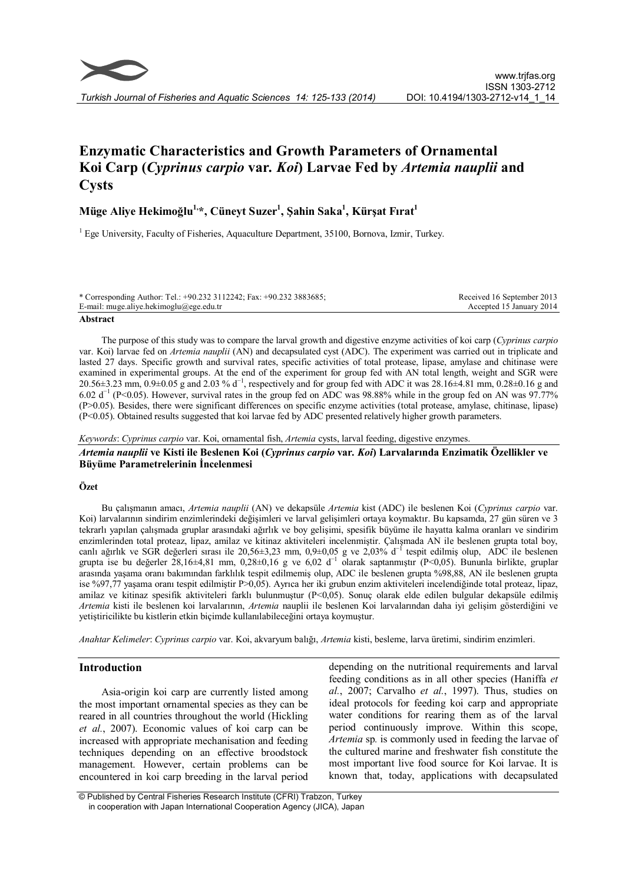# Enzymatic Characteristics and Growth Parameters of Ornamental Koi Carp (Cyprinus carpio var. Koi) Larvae Fed by Artemia nauplii and **Cysts**

# Müge Aliye Hekimoğlu<sup>1,</sup>\*, Cüneyt Suzer<sup>1</sup>, Şahin Saka<sup>1</sup>, Kürşat Fırat<sup>1</sup>

<sup>1</sup> Ege University, Faculty of Fisheries, Aquaculture Department, 35100, Bornova, Izmir, Turkey.

| * Corresponding Author: Tel.: $+90.232$ 3112242; Fax: $+90.232$ 3883685; | Received 16 September 2013 |
|--------------------------------------------------------------------------|----------------------------|
| E-mail: muge.aliye.hekimoglu@ege.edu.tr                                  | Accepted 15 January 2014   |
| $\blacksquare$                                                           |                            |

#### Abstract

The purpose of this study was to compare the larval growth and digestive enzyme activities of koi carp (Cyprinus carpio var. Koi) larvae fed on Artemia nauplii (AN) and decapsulated cyst (ADC). The experiment was carried out in triplicate and lasted 27 days. Specific growth and survival rates, specific activities of total protease, lipase, amylase and chitinase were examined in experimental groups. At the end of the experiment for group fed with AN total length, weight and SGR were 20.56±3.23 mm, 0.9±0.05 g and 2.03 % d<sup>-1</sup>, respectively and for group fed with ADC it was 28.16±4.81 mm, 0.28±0.16 g and 6.02 d−1 (P<0.05). However, survival rates in the group fed on ADC was 98.88% while in the group fed on AN was 97.77% (P>0.05). Besides, there were significant differences on specific enzyme activities (total protease, amylase, chitinase, lipase) (P<0.05). Obtained results suggested that koi larvae fed by ADC presented relatively higher growth parameters.

Keywords: Cyprinus carpio var. Koi, ornamental fish, Artemia cysts, larval feeding, digestive enzymes.

Artemia nauplii ve Kisti ile Beslenen Koi (Cyprinus carpio var. Koi) Larvalarında Enzimatik Özellikler ve Büyüme Parametrelerinin İncelenmesi

# Özet

Bu çalışmanın amacı, Artemia nauplii (AN) ve dekapsüle Artemia kist (ADC) ile beslenen Koi (Cyprinus carpio var. Koi) larvalarının sindirim enzimlerindeki değişimleri ve larval gelişimleri ortaya koymaktır. Bu kapsamda, 27 gün süren ve 3 tekrarlı yapılan çalışmada gruplar arasındaki ağırlık ve boy gelişimi, spesifik büyüme ile hayatta kalma oranları ve sindirim enzimlerinden total proteaz, lipaz, amilaz ve kitinaz aktiviteleri incelenmiştir. Çalışmada AN ile beslenen grupta total boy, canlı ağırlık ve SGR değerleri sırası ile 20,56±3,23 mm, 0,9±0,05 g ve 2,03% d−1 tespit edilmiş olup, ADC ile beslenen grupta ise bu değerler 28,16±4,81 mm, 0,28±0,16 g ve 6,02 d−1 olarak saptanmıştır (P<0,05). Bununla birlikte, gruplar arasında yaşama oranı bakımından farklılık tespit edilmemiş olup, ADC ile beslenen grupta %98,88, AN ile beslenen grupta ise %97,77 yaşama oranı tespit edilmiştir P>0,05). Ayrıca her iki grubun enzim aktiviteleri incelendiğinde total proteaz, lipaz, amilaz ve kitinaz spesifik aktiviteleri farklı bulunmuştur (P<0,05). Sonuç olarak elde edilen bulgular dekapsüle edilmiş Artemia kisti ile beslenen koi larvalarının, Artemia nauplii ile beslenen Koi larvalarından daha iyi gelişim gösterdiğini ve yetiştiricilikte bu kistlerin etkin biçimde kullanılabileceğini ortaya koymuştur.

Anahtar Kelimeler: Cyprinus carpio var. Koi, akvaryum balığı, Artemia kisti, besleme, larva üretimi, sindirim enzimleri.

# Introduction

Asia-origin koi carp are currently listed among the most important ornamental species as they can be reared in all countries throughout the world (Hickling et al., 2007). Economic values of koi carp can be increased with appropriate mechanisation and feeding techniques depending on an effective broodstock management. However, certain problems can be encountered in koi carp breeding in the larval period

depending on the nutritional requirements and larval feeding conditions as in all other species (Haniffa et  $al., 2007$ ; Carvalho *et al.*, 1997). Thus, studies on ideal protocols for feeding koi carp and appropriate water conditions for rearing them as of the larval period continuously improve. Within this scope, Artemia sp. is commonly used in feeding the larvae of the cultured marine and freshwater fish constitute the most important live food source for Koi larvae. It is known that, today, applications with decapsulated

© Published by Central Fisheries Research Institute (CFRI) Trabzon, Turkey in cooperation with Japan International Cooperation Agency (JICA), Japan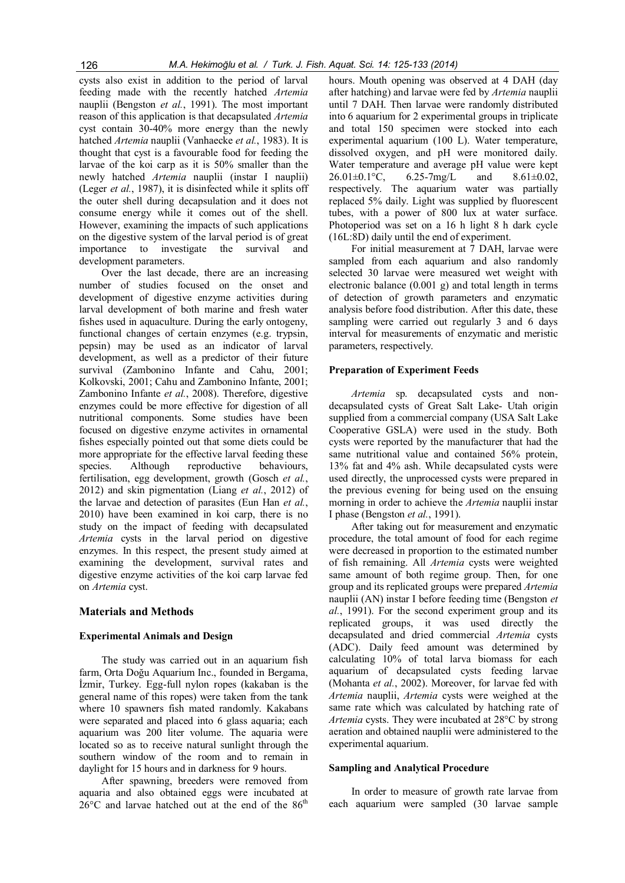cysts also exist in addition to the period of larval feeding made with the recently hatched Artemia nauplii (Bengston et al., 1991). The most important reason of this application is that decapsulated Artemia cyst contain 30-40% more energy than the newly hatched Artemia nauplii (Vanhaecke et al., 1983). It is thought that cyst is a favourable food for feeding the larvae of the koi carp as it is 50% smaller than the newly hatched Artemia nauplii (instar I nauplii) (Leger et al., 1987), it is disinfected while it splits off the outer shell during decapsulation and it does not consume energy while it comes out of the shell. However, examining the impacts of such applications on the digestive system of the larval period is of great importance to investigate the survival and development parameters.

Over the last decade, there are an increasing number of studies focused on the onset and development of digestive enzyme activities during larval development of both marine and fresh water fishes used in aquaculture. During the early ontogeny, functional changes of certain enzymes (e.g. trypsin, pepsin) may be used as an indicator of larval development, as well as a predictor of their future survival (Zambonino Infante and Cahu, 2001; Kolkovski, 2001; Cahu and Zambonino Infante, 2001; Zambonino Infante et al., 2008). Therefore, digestive enzymes could be more effective for digestion of all nutritional components. Some studies have been focused on digestive enzyme activites in ornamental fishes especially pointed out that some diets could be more appropriate for the effective larval feeding these<br>species. Although reproductive behaviours. species. Although reproductive fertilisation, egg development, growth (Gosch et al., 2012) and skin pigmentation (Liang et al., 2012) of the larvae and detection of parasites (Eun Han et al., 2010) have been examined in koi carp, there is no study on the impact of feeding with decapsulated Artemia cysts in the larval period on digestive enzymes. In this respect, the present study aimed at examining the development, survival rates and digestive enzyme activities of the koi carp larvae fed on Artemia cyst.

# Materials and Methods

#### Experimental Animals and Design

The study was carried out in an aquarium fish farm, Orta Doğu Aquarium Inc., founded in Bergama, İzmir, Turkey. Egg-full nylon ropes (kakaban is the general name of this ropes) were taken from the tank where 10 spawners fish mated randomly. Kakabans were separated and placed into 6 glass aquaria; each aquarium was 200 liter volume. The aquaria were located so as to receive natural sunlight through the southern window of the room and to remain in daylight for 15 hours and in darkness for 9 hours.

After spawning, breeders were removed from aquaria and also obtained eggs were incubated at  $26^{\circ}$ C and larvae hatched out at the end of the  $86^{\text{th}}$ 

hours. Mouth opening was observed at 4 DAH (day after hatching) and larvae were fed by Artemia nauplii until 7 DAH. Then larvae were randomly distributed into 6 aquarium for 2 experimental groups in triplicate and total 150 specimen were stocked into each experimental aquarium (100 L). Water temperature, dissolved oxygen, and pH were monitored daily. Water temperature and average pH value were kept  $26.01 \pm 0.1$  °C, 6.25-7mg/L and 8.61 $\pm 0.02$ ,  $26.01 \pm 0.1$ °C,  $6.25 - 7$ mg/L and  $8.61 \pm 0.02$ , respectively. The aquarium water was partially replaced 5% daily. Light was supplied by fluorescent tubes, with a power of 800 lux at water surface. Photoperiod was set on a 16 h light 8 h dark cycle (16L:8D) daily until the end of experiment.

For initial measurement at 7 DAH, larvae were sampled from each aquarium and also randomly selected 30 larvae were measured wet weight with electronic balance (0.001 g) and total length in terms of detection of growth parameters and enzymatic analysis before food distribution. After this date, these sampling were carried out regularly 3 and 6 days interval for measurements of enzymatic and meristic parameters, respectively.

#### Preparation of Experiment Feeds

Artemia sp. decapsulated cysts and nondecapsulated cysts of Great Salt Lake- Utah origin supplied from a commercial company (USA Salt Lake Cooperative GSLA) were used in the study. Both cysts were reported by the manufacturer that had the same nutritional value and contained 56% protein, 13% fat and 4% ash. While decapsulated cysts were used directly, the unprocessed cysts were prepared in the previous evening for being used on the ensuing morning in order to achieve the *Artemia* nauplii instar I phase (Bengston et al., 1991).

After taking out for measurement and enzymatic procedure, the total amount of food for each regime were decreased in proportion to the estimated number of fish remaining. All Artemia cysts were weighted same amount of both regime group. Then, for one group and its replicated groups were prepared Artemia nauplii (AN) instar I before feeding time (Bengston et al., 1991). For the second experiment group and its replicated groups, it was used directly the decapsulated and dried commercial Artemia cysts (ADC). Daily feed amount was determined by calculating 10% of total larva biomass for each aquarium of decapsulated cysts feeding larvae (Mohanta et al., 2002). Moreover, for larvae fed with Artemia nauplii, Artemia cysts were weighed at the same rate which was calculated by hatching rate of Artemia cysts. They were incubated at 28°C by strong aeration and obtained nauplii were administered to the experimental aquarium.

#### Sampling and Analytical Procedure

In order to measure of growth rate larvae from each aquarium were sampled (30 larvae sample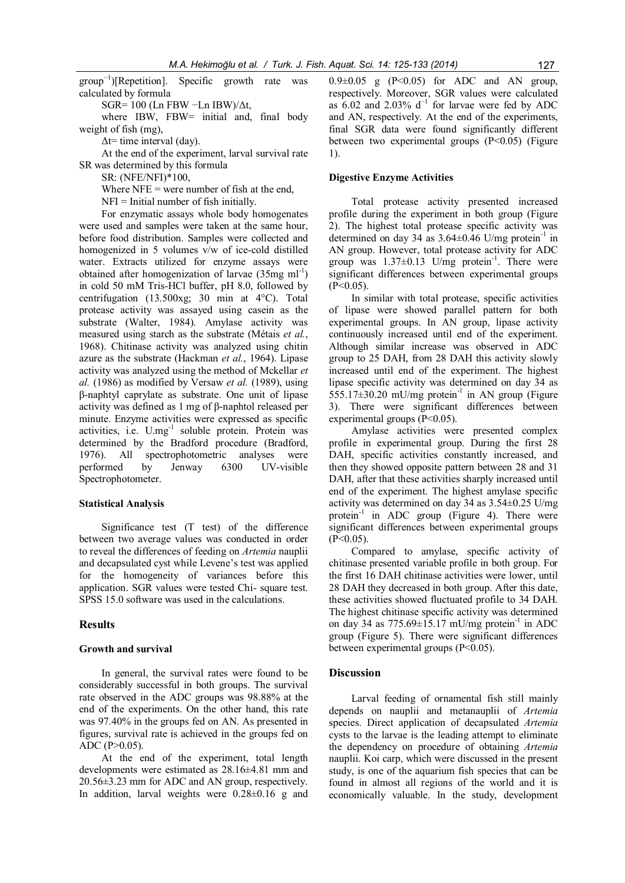group−1)[Repetition]. Specific growth rate was calculated by formula

SGR= 100 (Ln FBW −Ln IBW)/Δt,

where IBW, FBW= initial and, final body weight of fish (mg),

 $\Delta t$ = time interval (day).

At the end of the experiment, larval survival rate SR was determined by this formula

SR: (NFE/NFI)\*100,

Where  $NFE = were number of fish at the end,$ 

 $NFI = Initial number of fish initially.$ 

For enzymatic assays whole body homogenates were used and samples were taken at the same hour, before food distribution. Samples were collected and homogenized in 5 volumes v/w of ice-cold distilled water. Extracts utilized for enzyme assays were obtained after homogenization of larvae  $(35mg \text{ ml}^{-1})$ in cold 50 mM Tris-HCl buffer, pH 8.0, followed by centrifugation (13.500xg; 30 min at 4°C). Total protease activity was assayed using casein as the substrate (Walter, 1984). Amylase activity was measured using starch as the substrate (Métais et al., 1968). Chitinase activity was analyzed using chitin azure as the substrate (Hackman et al., 1964). Lipase activity was analyzed using the method of Mckellar et al. (1986) as modified by Versaw et al. (1989), using β-naphtyl caprylate as substrate. One unit of lipase activity was defined as 1 mg of β-naphtol released per minute. Enzyme activities were expressed as specific activities, i.e. U.mg<sup>-1</sup> soluble protein. Protein was determined by the Bradford procedure (Bradford, 1976). All spectrophotometric analyses were performed by Jenway 6300 UV-visible Spectrophotometer.

#### Statistical Analysis

Significance test (T test) of the difference between two average values was conducted in order to reveal the differences of feeding on Artemia nauplii and decapsulated cyst while Levene's test was applied for the homogeneity of variances before this application. SGR values were tested Chi- square test. SPSS 15.0 software was used in the calculations.

## Results

#### Growth and survival

In general, the survival rates were found to be considerably successful in both groups. The survival rate observed in the ADC groups was 98.88% at the end of the experiments. On the other hand, this rate was 97.40% in the groups fed on AN. As presented in figures, survival rate is achieved in the groups fed on ADC (P>0.05).

At the end of the experiment, total length developments were estimated as 28.16±4.81 mm and 20.56±3.23 mm for ADC and AN group, respectively. In addition, larval weights were 0.28±0.16 g and  $0.9\pm0.05$  g (P<0.05) for ADC and AN group, respectively. Moreover, SGR values were calculated as 6.02 and 2.03%  $d^{-1}$  for larvae were fed by ADC and AN, respectively. At the end of the experiments, final SGR data were found significantly different between two experimental groups  $(P<0.05)$  (Figure 1).

# Digestive Enzyme Activities

Total protease activity presented increased profile during the experiment in both group (Figure 2). The highest total protease specific activity was determined on day 34 as  $3.64\pm0.46$  U/mg protein<sup>-1</sup> in AN group. However, total protease activity for ADC group was 1.37±0.13 U/mg protein-1 . There were significant differences between experimental groups  $(P<0.05)$ .

In similar with total protease, specific activities of lipase were showed parallel pattern for both experimental groups. In AN group, lipase activity continuously increased until end of the experiment. Although similar increase was observed in ADC group to 25 DAH, from 28 DAH this activity slowly increased until end of the experiment. The highest lipase specific activity was determined on day 34 as 555.17 $\pm$ 30.20 mU/mg protein<sup>-1</sup> in AN group (Figure 3). There were significant differences between experimental groups (P<0.05).

Amylase activities were presented complex profile in experimental group. During the first 28 DAH, specific activities constantly increased, and then they showed opposite pattern between 28 and 31 DAH, after that these activities sharply increased until end of the experiment. The highest amylase specific activity was determined on day 34 as 3.54±0.25 U/mg protein<sup>-1</sup> in ADC group (Figure 4). There were significant differences between experimental groups  $(P<0.05)$ .

Compared to amylase, specific activity of chitinase presented variable profile in both group. For the first 16 DAH chitinase activities were lower, until 28 DAH they decreased in both group. After this date, these activities showed fluctuated profile to 34 DAH. The highest chitinase specific activity was determined on day 34 as  $775.69\pm15.17$  mU/mg protein<sup>-1</sup> in ADC group (Figure 5). There were significant differences between experimental groups (P<0.05).

#### **Discussion**

Larval feeding of ornamental fish still mainly depends on nauplii and metanauplii of Artemia species. Direct application of decapsulated Artemia cysts to the larvae is the leading attempt to eliminate the dependency on procedure of obtaining Artemia nauplii. Koi carp, which were discussed in the present study, is one of the aquarium fish species that can be found in almost all regions of the world and it is economically valuable. In the study, development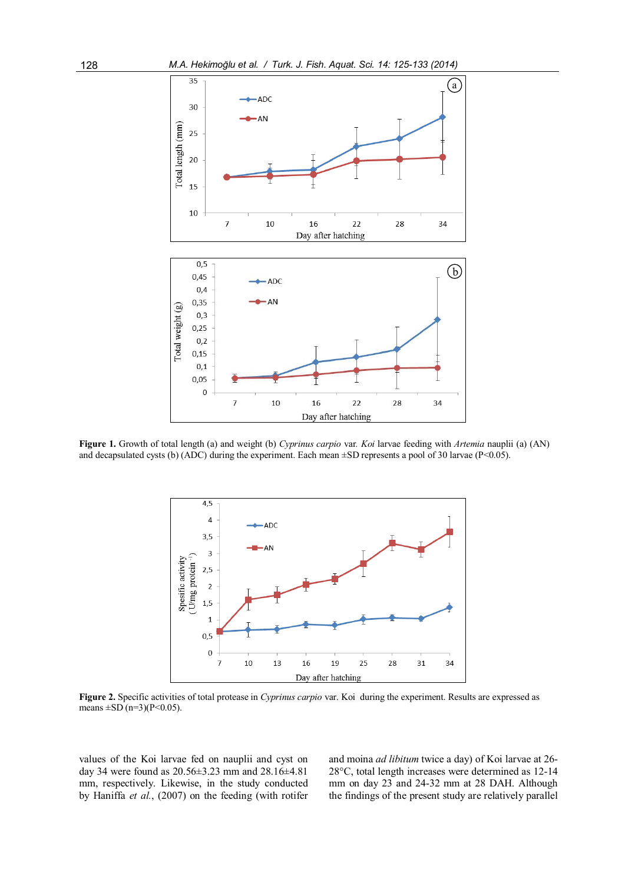

Figure 1. Growth of total length (a) and weight (b) Cyprinus carpio var. Koi larvae feeding with Artemia nauplii (a) (AN) and decapsulated cysts (b) (ADC) during the experiment. Each mean  $\pm$ SD represents a pool of 30 larvae (P<0.05).



Figure 2. Specific activities of total protease in *Cyprinus carpio* var. Koi during the experiment. Results are expressed as means  $\pm$ SD (n=3)(P<0.05).

values of the Koi larvae fed on nauplii and cyst on day 34 were found as 20.56±3.23 mm and 28.16±4.81 mm, respectively. Likewise, in the study conducted by Haniffa et al., (2007) on the feeding (with rotifer and moina ad libitum twice a day) of Koi larvae at 26- 28°C, total length increases were determined as 12-14 mm on day 23 and 24-32 mm at 28 DAH. Although the findings of the present study are relatively parallel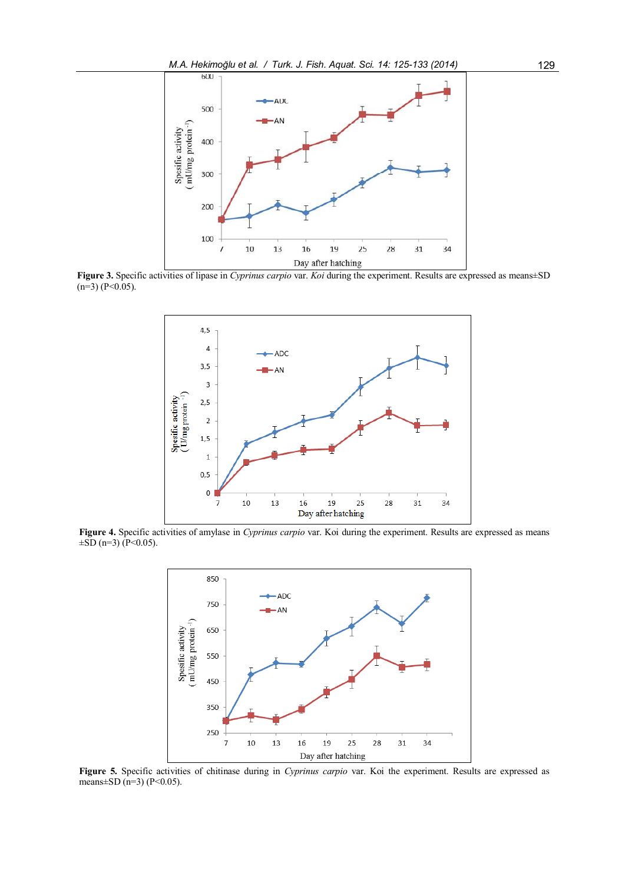

Figure 3. Specific activities of lipase in Cyprinus carpio var. Koi during the experiment. Results are expressed as means±SD  $(n=3)$  (P<0.05).



Figure 4. Specific activities of amylase in Cyprinus carpio var. Koi during the experiment. Results are expressed as means  $\pm$ SD (n=3) (P<0.05).



Figure 5. Specific activities of chitinase during in Cyprinus carpio var. Koi the experiment. Results are expressed as means $\pm$ SD (n=3) (P<0.05).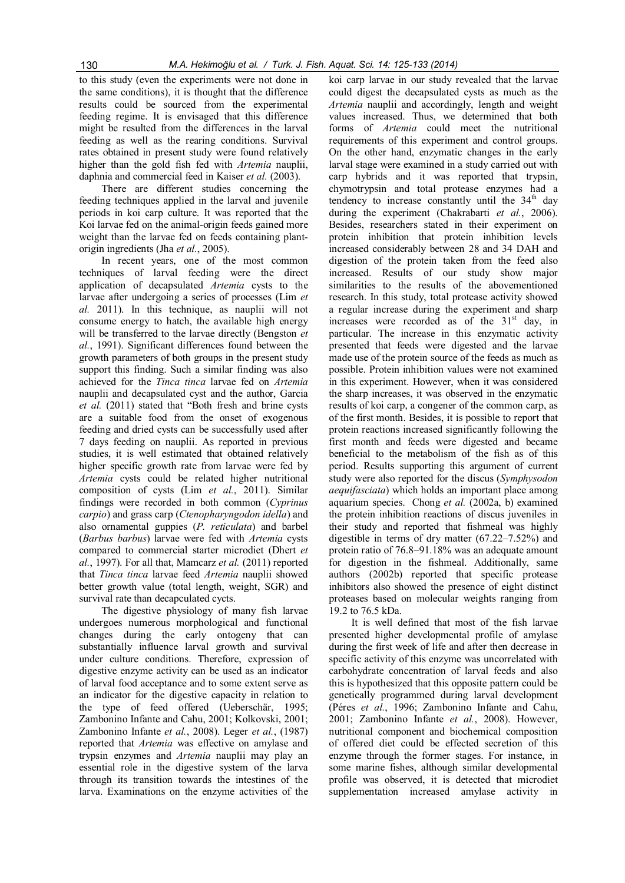to this study (even the experiments were not done in the same conditions), it is thought that the difference results could be sourced from the experimental feeding regime. It is envisaged that this difference might be resulted from the differences in the larval feeding as well as the rearing conditions. Survival rates obtained in present study were found relatively higher than the gold fish fed with Artemia nauplii, daphnia and commercial feed in Kaiser et al. (2003).

There are different studies concerning the feeding techniques applied in the larval and juvenile periods in koi carp culture. It was reported that the Koi larvae fed on the animal-origin feeds gained more weight than the larvae fed on feeds containing plantorigin ingredients (Jha et al., 2005).

In recent years, one of the most common techniques of larval feeding were the direct application of decapsulated Artemia cysts to the larvae after undergoing a series of processes (Lim et al. 2011). In this technique, as nauplii will not consume energy to hatch, the available high energy will be transferred to the larvae directly (Bengston et al., 1991). Significant differences found between the growth parameters of both groups in the present study support this finding. Such a similar finding was also achieved for the Tinca tinca larvae fed on Artemia nauplii and decapsulated cyst and the author, Garcia et al. (2011) stated that "Both fresh and brine cysts are a suitable food from the onset of exogenous feeding and dried cysts can be successfully used after 7 days feeding on nauplii. As reported in previous studies, it is well estimated that obtained relatively higher specific growth rate from larvae were fed by Artemia cysts could be related higher nutritional composition of cysts (Lim et al., 2011). Similar findings were recorded in both common (Cyprinus carpio) and grass carp (Ctenopharyngodon idella) and also ornamental guppies (P. reticulata) and barbel (Barbus barbus) larvae were fed with Artemia cysts compared to commercial starter microdiet (Dhert et  $al., 1997$ ). For all that, Mamcarz *et al.*  $(2011)$  reported that Tinca tinca larvae feed Artemia nauplii showed better growth value (total length, weight, SGR) and survival rate than decapculated cycts.

The digestive physiology of many fish larvae undergoes numerous morphological and functional changes during the early ontogeny that can substantially influence larval growth and survival under culture conditions. Therefore, expression of digestive enzyme activity can be used as an indicator of larval food acceptance and to some extent serve as an indicator for the digestive capacity in relation to the type of feed offered (Ueberschär, 1995; Zambonino Infante and Cahu, 2001; Kolkovski, 2001; Zambonino Infante et al., 2008). Leger et al., (1987) reported that Artemia was effective on amylase and trypsin enzymes and Artemia nauplii may play an essential role in the digestive system of the larva through its transition towards the intestines of the larva. Examinations on the enzyme activities of the

koi carp larvae in our study revealed that the larvae could digest the decapsulated cysts as much as the Artemia nauplii and accordingly, length and weight values increased. Thus, we determined that both forms of Artemia could meet the nutritional requirements of this experiment and control groups. On the other hand, enzymatic changes in the early larval stage were examined in a study carried out with carp hybrids and it was reported that trypsin, chymotrypsin and total protease enzymes had a tendency to increase constantly until the 34<sup>th</sup> day during the experiment (Chakrabarti et al., 2006). Besides, researchers stated in their experiment on protein inhibition that protein inhibition levels increased considerably between 28 and 34 DAH and digestion of the protein taken from the feed also increased. Results of our study show major similarities to the results of the abovementioned research. In this study, total protease activity showed a regular increase during the experiment and sharp increases were recorded as of the  $31<sup>st</sup>$  day, in particular. The increase in this enzymatic activity presented that feeds were digested and the larvae made use of the protein source of the feeds as much as possible. Protein inhibition values were not examined in this experiment. However, when it was considered the sharp increases, it was observed in the enzymatic results of koi carp, a congener of the common carp, as of the first month. Besides, it is possible to report that protein reactions increased significantly following the first month and feeds were digested and became beneficial to the metabolism of the fish as of this period. Results supporting this argument of current study were also reported for the discus (Symphysodon aequifasciata) which holds an important place among aquarium species. Chong et al. (2002a, b) examined the protein inhibition reactions of discus juveniles in their study and reported that fishmeal was highly digestible in terms of dry matter (67.22–7.52%) and protein ratio of 76.8–91.18% was an adequate amount for digestion in the fishmeal. Additionally, same authors (2002b) reported that specific protease inhibitors also showed the presence of eight distinct proteases based on molecular weights ranging from 19.2 to 76.5 kDa.

It is well defined that most of the fish larvae presented higher developmental profile of amylase during the first week of life and after then decrease in specific activity of this enzyme was uncorrelated with carbohydrate concentration of larval feeds and also this is hypothesized that this opposite pattern could be genetically programmed during larval development (Péres et al., 1996; Zambonino Infante and Cahu, 2001; Zambonino Infante et al., 2008). However, nutritional component and biochemical composition of offered diet could be effected secretion of this enzyme through the former stages. For instance, in some marine fishes, although similar developmental profile was observed, it is detected that microdiet supplementation increased amylase activity in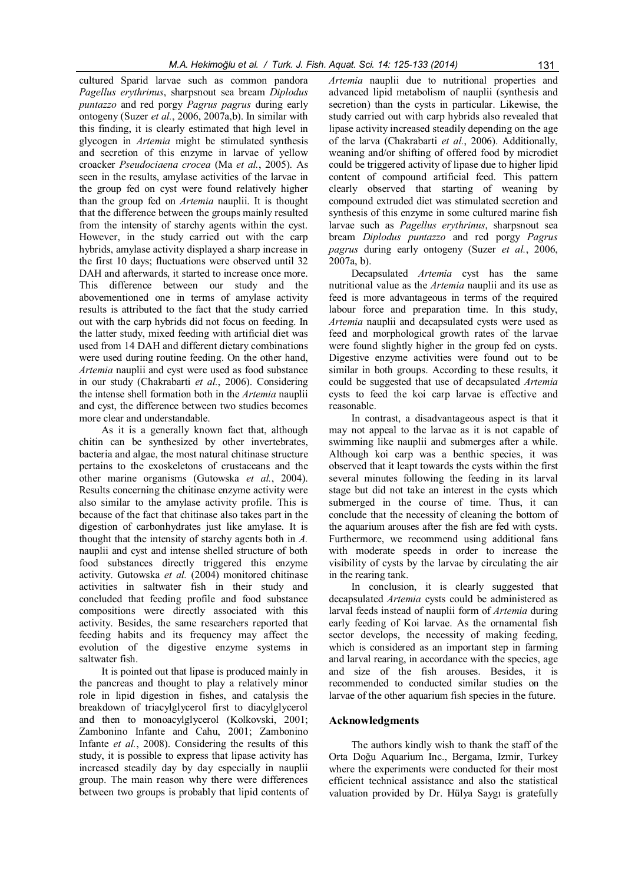cultured Sparid larvae such as common pandora Pagellus erythrinus, sharpsnout sea bream Diplodus puntazzo and red porgy Pagrus pagrus during early ontogeny (Suzer et al., 2006, 2007a,b). In similar with this finding, it is clearly estimated that high level in glycogen in Artemia might be stimulated synthesis and secretion of this enzyme in larvae of yellow croacker Pseudociaena crocea (Ma et al., 2005). As seen in the results, amylase activities of the larvae in the group fed on cyst were found relatively higher than the group fed on Artemia nauplii. It is thought that the difference between the groups mainly resulted from the intensity of starchy agents within the cyst. However, in the study carried out with the carp hybrids, amylase activity displayed a sharp increase in the first 10 days; fluctuations were observed until 32 DAH and afterwards, it started to increase once more. This difference between our study and the abovementioned one in terms of amylase activity results is attributed to the fact that the study carried out with the carp hybrids did not focus on feeding. In the latter study, mixed feeding with artificial diet was used from 14 DAH and different dietary combinations were used during routine feeding. On the other hand, Artemia nauplii and cyst were used as food substance in our study (Chakrabarti et al., 2006). Considering the intense shell formation both in the Artemia nauplii and cyst, the difference between two studies becomes more clear and understandable.

As it is a generally known fact that, although chitin can be synthesized by other invertebrates, bacteria and algae, the most natural chitinase structure pertains to the exoskeletons of crustaceans and the other marine organisms (Gutowska et al., 2004). Results concerning the chitinase enzyme activity were also similar to the amylase activity profile. This is because of the fact that chitinase also takes part in the digestion of carbonhydrates just like amylase. It is thought that the intensity of starchy agents both in A. nauplii and cyst and intense shelled structure of both food substances directly triggered this enzyme activity. Gutowska et al. (2004) monitored chitinase activities in saltwater fish in their study and concluded that feeding profile and food substance compositions were directly associated with this activity. Besides, the same researchers reported that feeding habits and its frequency may affect the evolution of the digestive enzyme systems in saltwater fish.

It is pointed out that lipase is produced mainly in the pancreas and thought to play a relatively minor role in lipid digestion in fishes, and catalysis the breakdown of triacylglycerol first to diacylglycerol and then to monoacylglycerol (Kolkovski, 2001; Zambonino Infante and Cahu, 2001; Zambonino Infante et al., 2008). Considering the results of this study, it is possible to express that lipase activity has increased steadily day by day especially in nauplii group. The main reason why there were differences between two groups is probably that lipid contents of

Artemia nauplii due to nutritional properties and advanced lipid metabolism of nauplii (synthesis and secretion) than the cysts in particular. Likewise, the study carried out with carp hybrids also revealed that lipase activity increased steadily depending on the age of the larva (Chakrabarti et al., 2006). Additionally, weaning and/or shifting of offered food by microdiet could be triggered activity of lipase due to higher lipid content of compound artificial feed. This pattern clearly observed that starting of weaning by compound extruded diet was stimulated secretion and synthesis of this enzyme in some cultured marine fish larvae such as Pagellus erythrinus, sharpsnout sea bream Diplodus puntazzo and red porgy Pagrus pagrus during early ontogeny (Suzer et al., 2006, 2007a, b).

Decapsulated Artemia cyst has the same nutritional value as the Artemia nauplii and its use as feed is more advantageous in terms of the required labour force and preparation time. In this study, Artemia nauplii and decapsulated cysts were used as feed and morphological growth rates of the larvae were found slightly higher in the group fed on cysts. Digestive enzyme activities were found out to be similar in both groups. According to these results, it could be suggested that use of decapsulated Artemia cysts to feed the koi carp larvae is effective and reasonable.

In contrast, a disadvantageous aspect is that it may not appeal to the larvae as it is not capable of swimming like nauplii and submerges after a while. Although koi carp was a benthic species, it was observed that it leapt towards the cysts within the first several minutes following the feeding in its larval stage but did not take an interest in the cysts which submerged in the course of time. Thus, it can conclude that the necessity of cleaning the bottom of the aquarium arouses after the fish are fed with cysts. Furthermore, we recommend using additional fans with moderate speeds in order to increase the visibility of cysts by the larvae by circulating the air in the rearing tank.

In conclusion, it is clearly suggested that decapsulated Artemia cysts could be administered as larval feeds instead of nauplii form of Artemia during early feeding of Koi larvae. As the ornamental fish sector develops, the necessity of making feeding, which is considered as an important step in farming and larval rearing, in accordance with the species, age and size of the fish arouses. Besides, it is recommended to conducted similar studies on the larvae of the other aquarium fish species in the future.

#### Acknowledgments

The authors kindly wish to thank the staff of the Orta Doğu Aquarium Inc., Bergama, Izmir, Turkey where the experiments were conducted for their most efficient technical assistance and also the statistical valuation provided by Dr. Hülya Saygı is gratefully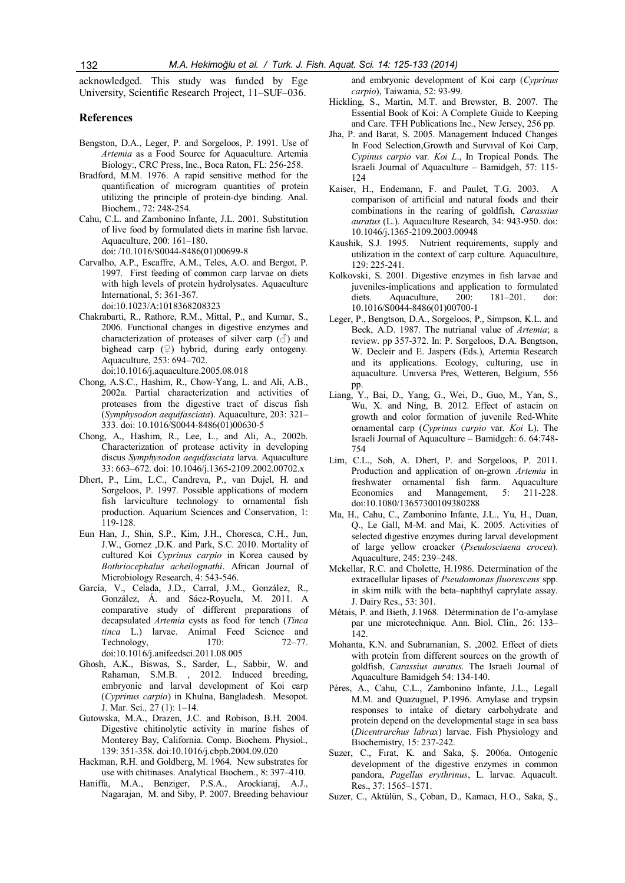acknowledged. This study was funded by Ege University, Scientific Research Project, 11–SUF–036.

#### References

- Bengston, D.A., Leger, P. and Sorgeloos, P. 1991. Use of Artemia as a Food Source for Aquaculture. Artemia Biology:, CRC Press, Inc., Boca Raton, FL: 256-258.
- Bradford, M.M. 1976. A rapid sensitive method for the quantification of microgram quantities of protein utilizing the principle of protein-dye binding. Anal. Biochem., 72: 248-254.
- Cahu, C.L. and Zambonino Infante, J.L. 2001. Substitution of live food by formulated diets in marine fish larvae. Aquaculture, 200: 161–180. doi: /10.1016/S0044-8486(01)00699-8
- Carvalho, A.P., Escaffre, A.M., Teles, A.O. and Bergot, P. 1997. First feeding of common carp larvae on diets with high levels of protein hydrolysates. Aquaculture International, 5: 361-367. doi:10.1023/A:1018368208323
- Chakrabarti, R., Rathore, R.M., Mittal, P., and Kumar, S., 2006. Functional changes in digestive enzymes and characterization of proteases of silver carp  $(\vec{\delta})$  and bighead carp  $(\varphi)$  hybrid, during early ontogeny. Aquaculture, 253: 694–702.

doi:10.1016/j.aquaculture.2005.08.018

- Chong, A.S.C., Hashim, R., Chow-Yang, L. and Ali, A.B., 2002a. Partial characterization and activities of proteases from the digestive tract of discus fish (Symphysodon aequifasciata). Aquaculture, 203: 321– 333. doi: 10.1016/S0044-8486(01)00630-5
- Chong, A., Hashim, R., Lee, L., and Ali, A., 2002b. Characterization of protease activity in developing discus Symphysodon aequifasciata larva. Aquaculture 33: 663–672. doi: 10.1046/j.1365-2109.2002.00702.x
- Dhert, P., Lim, L.C., Candreva, P., van Dujel, H. and Sorgeloos, P. 1997. Possible applications of modern fish larviculture technology to ornamental fish production. Aquarium Sciences and Conservation, 1: 119-128.
- Eun Han, J., Shin, S.P., Kim, J.H., Choresca, C.H., Jun, J.W., Gomez ,D.K. and Park, S.C. 2010. Mortality of cultured Koi Cyprinus carpio in Korea caused by Bothriocephalus acheilognathi. African Journal of Microbiology Research, 4: 543-546.
- García, V., Celada, J.D., Carral, J.M., González, R., González, Á. and Sáez-Royuela, M. 2011. A comparative study of different preparations of decapsulated Artemia cysts as food for tench (Tinca tinca L.) larvae. Animal Feed Science and Technology, 170: 72–77. doi:10.1016/j.anifeedsci.2011.08.005
- Ghosh, A.K., Biswas, S., Sarder, L., Sabbir, W. and Rahaman, S.M.B. , 2012. Induced breeding, embryonic and larval development of Koi carp (Cyprinus carpio) in Khulna, Bangladesh. Mesopot. J. Mar. Sci., 27 (1): 1–14.
- Gutowska, M.A., Drazen, J.C. and Robison, B.H. 2004. Digestive chitinolytic activity in marine fishes of Monterey Bay, California. Comp. Biochem. Physiol., 139: 351-358. doi:10.1016/j.cbpb.2004.09.020
- Hackman, R.H. and Goldberg, M. 1964. New substrates for use with chitinases. Analytical Biochem., 8: 397–410.
- Haniffa, M.A., Benziger, P.S.A., Arockiaraj, A.J., Nagarajan, M. and Siby, P. 2007. Breeding behaviour

and embryonic development of Koi carp (Cyprinus carpio), Taiwania, 52: 93-99.

- Hickling, S., Martin, M.T. and Brewster, B. 2007. The Essential Book of Koi: A Complete Guide to Keeping and Care. TFH Publications Inc., New Jersey, 256 pp.
- Jha, P. and Barat, S. 2005. Management Induced Changes In Food Selection,Growth and Survıval of Koi Carp, Cypinus carpio var. Koi L., In Tropical Ponds. The Israeli Journal of Aquaculture – Bamidgeh, 57: 115- 124
- Kaiser, H., Endemann, F. and Paulet, T.G. 2003. A comparison of artificial and natural foods and their combinations in the rearing of goldfish, Carassius auratus (L.). Aquaculture Research, 34: 943-950. doi: 10.1046/j.1365-2109.2003.00948
- Kaushik, S.J. 1995. Nutrient requirements, supply and utilization in the context of carp culture. Aquaculture, 129: 225-241.
- Kolkovski, S. 2001. Digestive enzymes in fish larvae and juveniles-implications and application to formulated diets. Aquaculture, 200: 181–201. doi: 10.1016/S0044-8486(01)00700-1
- Leger, P., Bengtson, D.A., Sorgeloos, P., Simpson, K.L. and Beck, A.D. 1987. The nutrianal value of Artemia; a review. pp 357-372. In: P. Sorgeloos, D.A. Bengtson, W. Decleir and E. Jaspers (Eds.), Artemia Research and its applications. Ecology, culturing, use in aquaculture. Universa Pres, Wetteren, Belgium, 556 pp.
- Liang, Y., Bai, D., Yang, G., Wei, D., Guo, M., Yan, S., Wu, X. and Ning, B. 2012. Effect of astacin on growth and color formation of juvenile Red-White ornamental carp (Cyprinus carpio var. Koi L). The Israeli Journal of Aquaculture – Bamidgeh: 6. 64:748- 754
- Lim, C.L., Soh, A. Dhert, P. and Sorgeloos, P. 2011. Production and application of on-grown Artemia in freshwater ornamental fish farm. Aquaculture Economics and Management, 5: 211-228. doi:10.1080/13657300109380288
- Ma, H., Cahu, C., Zambonino Infante, J.L., Yu, H., Duan, Q., Le Gall, M-M. and Mai, K. 2005. Activities of selected digestive enzymes during larval development of large yellow croacker (Pseudosciaena crocea). Aquaculture, 245: 239–248.
- Mckellar, R.C. and Cholette, H.1986. Determination of the extracellular lipases of Pseudomonas fluorescens spp. in skim milk with the beta–naphthyl caprylate assay. J. Dairy Res., 53: 301.
- Métais, P. and Bieth, J.1968. Détermination de l'α-amylase par une microtechnique. Ann. Biol. Clin., 26: 133– 142.
- Mohanta, K.N. and Subramanian, S. ,2002. Effect of diets with protein from different sources on the growth of goldfish, Carassius auratus. The Israeli Journal of Aquaculture Bamidgeh 54: 134-140.
- Péres, A., Cahu, C.L., Zambonino Infante, J.L., Legall M.M. and Quazuguel, P.1996. Amylase and trypsin responses to intake of dietary carbohydrate and protein depend on the developmental stage in sea bass (Dicentrarchus labrax) larvae. Fish Physiology and Biochemistry, 15: 237-242.
- Suzer, C., Fırat, K. and Saka, Ş. 2006a. Ontogenic development of the digestive enzymes in common pandora, Pagellus erythrinus, L. larvae. Aquacult. Res., 37: 1565–1571.
- Suzer, C., Aktülün, S., Çoban, D., Kamacı, H.O., Saka, Ş.,